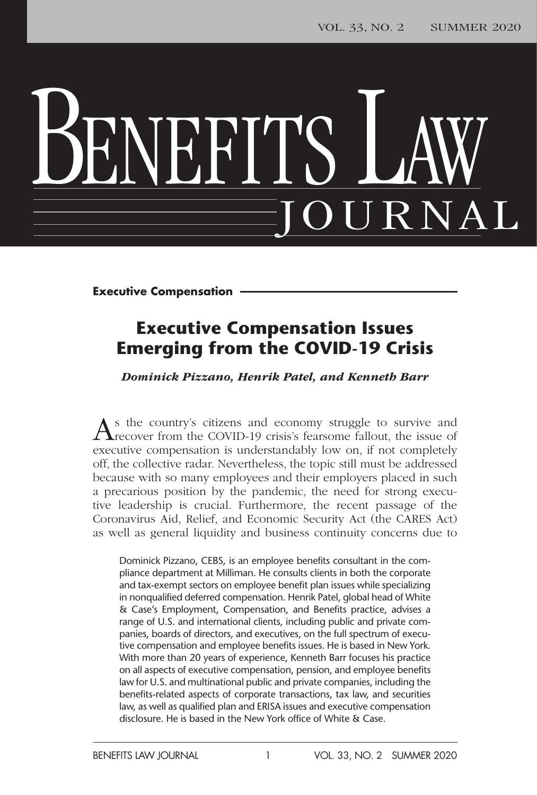# BENEFITS LAW JOURNAL

**Executive Compensation**

### **Executive Compensation Issues Emerging from the COVID-19 Crisis**

*Dominick Pizzano, Henrik Patel, and Kenneth Barr*

As the country's citizens and economy struggle to survive and recover from the COVID-19 crisis's fearsome fallout, the issue of executive compensation is understandably low on, if not completely off, the collective radar. Nevertheless, the topic still must be addressed because with so many employees and their employers placed in such a precarious position by the pandemic, the need for strong executive leadership is crucial. Furthermore, the recent passage of the Coronavirus Aid, Relief, and Economic Security Act (the CARES Act) as well as general liquidity and business continuity concerns due to

Dominick Pizzano, CEBS, is an employee benefits consultant in the compliance department at Milliman. He consults clients in both the corporate and tax-exempt sectors on employee benefit plan issues while specializing in nonqualified deferred compensation. Henrik Patel, global head of White & Case's Employment, Compensation, and Benefits practice, advises a range of U.S. and international clients, including public and private companies, boards of directors, and executives, on the full spectrum of executive compensation and employee benefits issues. He is based in New York. With more than 20 years of experience, Kenneth Barr focuses his practice on all aspects of executive compensation, pension, and employee benefits law for U.S. and multinational public and private companies, including the benefits-related aspects of corporate transactions, tax law, and securities law, as well as qualified plan and ERISA issues and executive compensation disclosure. He is based in the New York office of White & Case.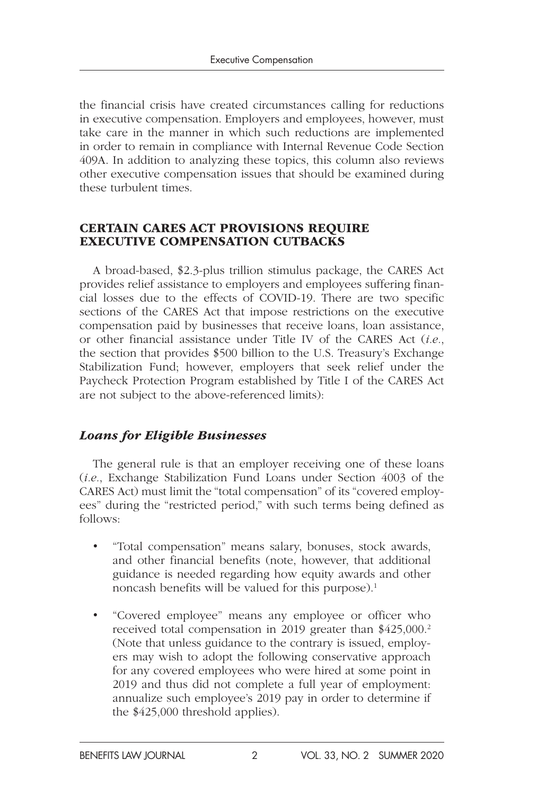the financial crisis have created circumstances calling for reductions in executive compensation. Employers and employees, however, must take care in the manner in which such reductions are implemented in order to remain in compliance with Internal Revenue Code Section 409A. In addition to analyzing these topics, this column also reviews other executive compensation issues that should be examined during these turbulent times.

#### CERTAIN CARES ACT PROVISIONS REQUIRE EXECUTIVE COMPENSATION CUTBACKS

A broad-based, \$2.3-plus trillion stimulus package, the CARES Act provides relief assistance to employers and employees suffering financial losses due to the effects of COVID-19. There are two specific sections of the CARES Act that impose restrictions on the executive compensation paid by businesses that receive loans, loan assistance, or other financial assistance under Title IV of the CARES Act (*i.e.*, the section that provides \$500 billion to the U.S. Treasury's Exchange Stabilization Fund; however, employers that seek relief under the Paycheck Protection Program established by Title I of the CARES Act are not subject to the above-referenced limits):

#### *Loans for Eligible Businesses*

The general rule is that an employer receiving one of these loans (*i.e.*, Exchange Stabilization Fund Loans under Section 4003 of the CARES Act) must limit the "total compensation" of its "covered employees" during the "restricted period," with such terms being defined as follows:

- "Total compensation" means salary, bonuses, stock awards, and other financial benefits (note, however, that additional guidance is needed regarding how equity awards and other noncash benefits will be valued for this purpose).<sup>1</sup>
- "Covered employee" means any employee or officer who received total compensation in 2019 greater than \$425,000.<sup>2</sup> (Note that unless guidance to the contrary is issued, employers may wish to adopt the following conservative approach for any covered employees who were hired at some point in 2019 and thus did not complete a full year of employment: annualize such employee's 2019 pay in order to determine if the \$425,000 threshold applies).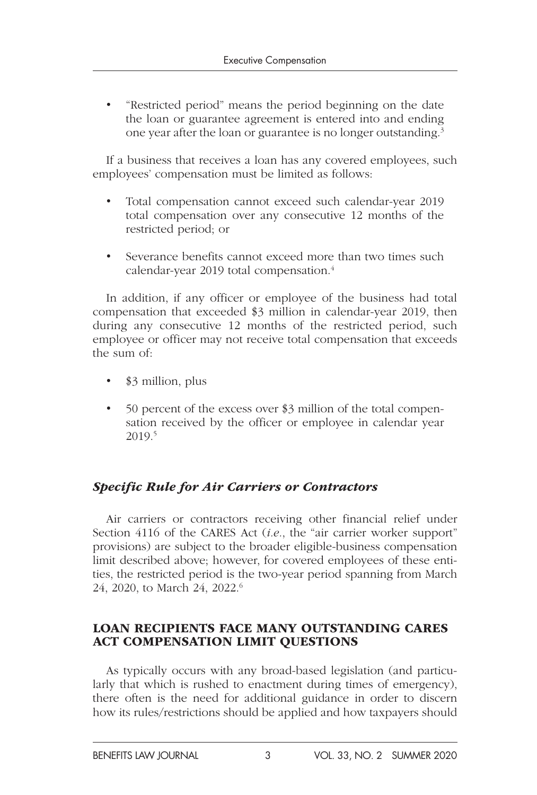• "Restricted period" means the period beginning on the date the loan or guarantee agreement is entered into and ending one year after the loan or guarantee is no longer outstanding.3

If a business that receives a loan has any covered employees, such employees' compensation must be limited as follows:

- Total compensation cannot exceed such calendar-year 2019 total compensation over any consecutive 12 months of the restricted period; or
- Severance benefits cannot exceed more than two times such calendar-year 2019 total compensation.<sup>4</sup>

In addition, if any officer or employee of the business had total compensation that exceeded \$3 million in calendar-year 2019, then during any consecutive 12 months of the restricted period, such employee or officer may not receive total compensation that exceeds the sum of:

- \$3 million, plus
- 50 percent of the excess over \$3 million of the total compensation received by the officer or employee in calendar year 2019.5

#### *Specific Rule for Air Carriers or Contractors*

Air carriers or contractors receiving other financial relief under Section 4116 of the CARES Act (*i.e.*, the "air carrier worker support" provisions) are subject to the broader eligible-business compensation limit described above; however, for covered employees of these entities, the restricted period is the two-year period spanning from March 24, 2020, to March 24, 2022.6

#### LOAN RECIPIENTS FACE MANY OUTSTANDING CARES ACT COMPENSATION LIMIT QUESTIONS

As typically occurs with any broad-based legislation (and particularly that which is rushed to enactment during times of emergency), there often is the need for additional guidance in order to discern how its rules/restrictions should be applied and how taxpayers should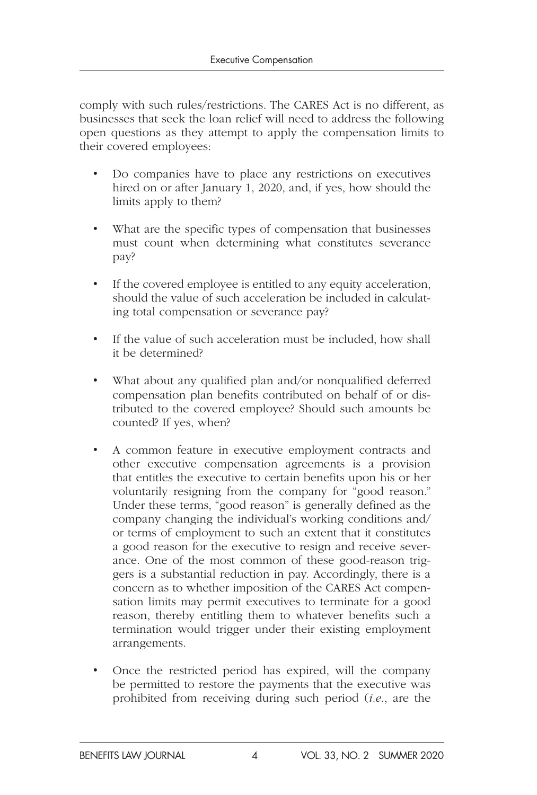comply with such rules/restrictions. The CARES Act is no different, as businesses that seek the loan relief will need to address the following open questions as they attempt to apply the compensation limits to their covered employees:

- Do companies have to place any restrictions on executives hired on or after January 1, 2020, and, if yes, how should the limits apply to them?
- What are the specific types of compensation that businesses must count when determining what constitutes severance pay?
- If the covered employee is entitled to any equity acceleration, should the value of such acceleration be included in calculating total compensation or severance pay?
- If the value of such acceleration must be included, how shall it be determined?
- What about any qualified plan and/or nonqualified deferred compensation plan benefits contributed on behalf of or distributed to the covered employee? Should such amounts be counted? If yes, when?
- A common feature in executive employment contracts and other executive compensation agreements is a provision that entitles the executive to certain benefits upon his or her voluntarily resigning from the company for "good reason." Under these terms, "good reason" is generally defined as the company changing the individual's working conditions and/ or terms of employment to such an extent that it constitutes a good reason for the executive to resign and receive severance. One of the most common of these good-reason triggers is a substantial reduction in pay. Accordingly, there is a concern as to whether imposition of the CARES Act compensation limits may permit executives to terminate for a good reason, thereby entitling them to whatever benefits such a termination would trigger under their existing employment arrangements.
- Once the restricted period has expired, will the company be permitted to restore the payments that the executive was prohibited from receiving during such period (*i.e.*, are the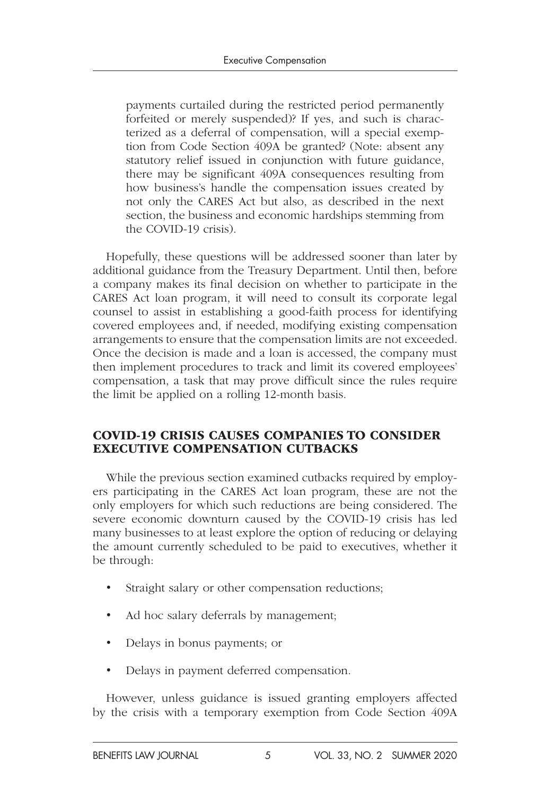payments curtailed during the restricted period permanently forfeited or merely suspended)? If yes, and such is characterized as a deferral of compensation, will a special exemption from Code Section 409A be granted? (Note: absent any statutory relief issued in conjunction with future guidance, there may be significant 409A consequences resulting from how business's handle the compensation issues created by not only the CARES Act but also, as described in the next section, the business and economic hardships stemming from the COVID-19 crisis).

Hopefully, these questions will be addressed sooner than later by additional guidance from the Treasury Department. Until then, before a company makes its final decision on whether to participate in the CARES Act loan program, it will need to consult its corporate legal counsel to assist in establishing a good-faith process for identifying covered employees and, if needed, modifying existing compensation arrangements to ensure that the compensation limits are not exceeded. Once the decision is made and a loan is accessed, the company must then implement procedures to track and limit its covered employees' compensation, a task that may prove difficult since the rules require the limit be applied on a rolling 12-month basis.

#### COVID-19 CRISIS CAUSES COMPANIES TO CONSIDER EXECUTIVE COMPENSATION CUTBACKS

While the previous section examined cutbacks required by employers participating in the CARES Act loan program, these are not the only employers for which such reductions are being considered. The severe economic downturn caused by the COVID-19 crisis has led many businesses to at least explore the option of reducing or delaying the amount currently scheduled to be paid to executives, whether it be through:

- Straight salary or other compensation reductions;
- Ad hoc salary deferrals by management;
- Delays in bonus payments; or
- Delays in payment deferred compensation.

However, unless guidance is issued granting employers affected by the crisis with a temporary exemption from Code Section 409A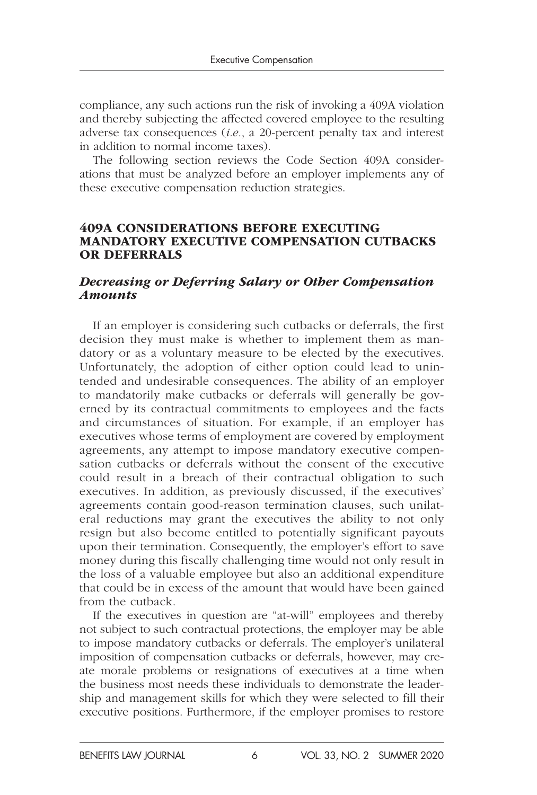compliance, any such actions run the risk of invoking a 409A violation and thereby subjecting the affected covered employee to the resulting adverse tax consequences (*i.e.*, a 20-percent penalty tax and interest in addition to normal income taxes).

The following section reviews the Code Section 409A considerations that must be analyzed before an employer implements any of these executive compensation reduction strategies.

#### 409A CONSIDERATIONS BEFORE EXECUTING MANDATORY EXECUTIVE COMPENSATION CUTBACKS OR DEFERRALS

#### *Decreasing or Deferring Salary or Other Compensation Amounts*

If an employer is considering such cutbacks or deferrals, the first decision they must make is whether to implement them as mandatory or as a voluntary measure to be elected by the executives. Unfortunately, the adoption of either option could lead to unintended and undesirable consequences. The ability of an employer to mandatorily make cutbacks or deferrals will generally be governed by its contractual commitments to employees and the facts and circumstances of situation. For example, if an employer has executives whose terms of employment are covered by employment agreements, any attempt to impose mandatory executive compensation cutbacks or deferrals without the consent of the executive could result in a breach of their contractual obligation to such executives. In addition, as previously discussed, if the executives' agreements contain good-reason termination clauses, such unilateral reductions may grant the executives the ability to not only resign but also become entitled to potentially significant payouts upon their termination. Consequently, the employer's effort to save money during this fiscally challenging time would not only result in the loss of a valuable employee but also an additional expenditure that could be in excess of the amount that would have been gained from the cutback.

If the executives in question are "at-will" employees and thereby not subject to such contractual protections, the employer may be able to impose mandatory cutbacks or deferrals. The employer's unilateral imposition of compensation cutbacks or deferrals, however, may create morale problems or resignations of executives at a time when the business most needs these individuals to demonstrate the leadership and management skills for which they were selected to fill their executive positions. Furthermore, if the employer promises to restore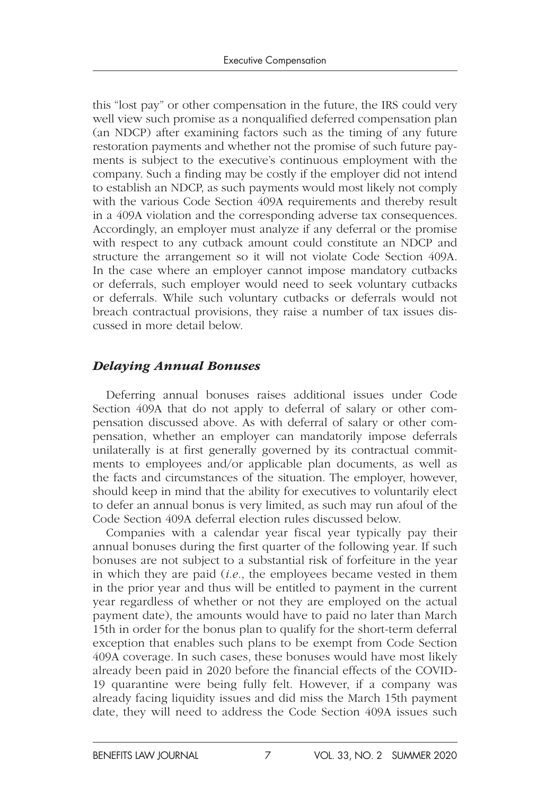this "lost pay" or other compensation in the future, the IRS could very well view such promise as a nonqualified deferred compensation plan (an NDCP) after examining factors such as the timing of any future restoration payments and whether not the promise of such future payments is subject to the executive's continuous employment with the company. Such a finding may be costly if the employer did not intend to establish an NDCP, as such payments would most likely not comply with the various Code Section 409A requirements and thereby result in a 409A violation and the corresponding adverse tax consequences. Accordingly, an employer must analyze if any deferral or the promise with respect to any cutback amount could constitute an NDCP and structure the arrangement so it will not violate Code Section 409A. In the case where an employer cannot impose mandatory cutbacks or deferrals, such employer would need to seek voluntary cutbacks or deferrals. While such voluntary cutbacks or deferrals would not breach contractual provisions, they raise a number of tax issues discussed in more detail below.

#### *Delaying Annual Bonuses*

Deferring annual bonuses raises additional issues under Code Section 409A that do not apply to deferral of salary or other compensation discussed above. As with deferral of salary or other compensation, whether an employer can mandatorily impose deferrals unilaterally is at first generally governed by its contractual commitments to employees and/or applicable plan documents, as well as the facts and circumstances of the situation. The employer, however, should keep in mind that the ability for executives to voluntarily elect to defer an annual bonus is very limited, as such may run afoul of the Code Section 409A deferral election rules discussed below.

Companies with a calendar year fiscal year typically pay their annual bonuses during the first quarter of the following year. If such bonuses are not subject to a substantial risk of forfeiture in the year in which they are paid (*i.e.*, the employees became vested in them in the prior year and thus will be entitled to payment in the current year regardless of whether or not they are employed on the actual payment date), the amounts would have to paid no later than March 15th in order for the bonus plan to qualify for the short-term deferral exception that enables such plans to be exempt from Code Section 409A coverage. In such cases, these bonuses would have most likely already been paid in 2020 before the financial effects of the COVID-19 quarantine were being fully felt. However, if a company was already facing liquidity issues and did miss the March 15th payment date, they will need to address the Code Section 409A issues such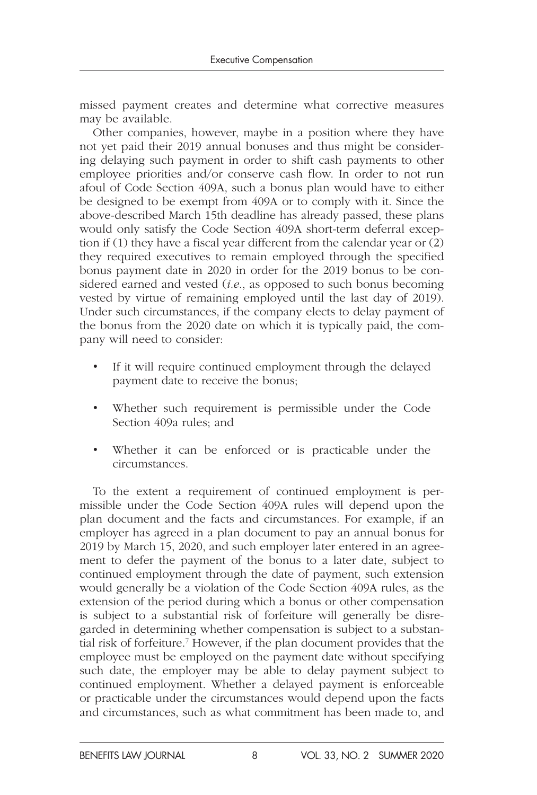missed payment creates and determine what corrective measures may be available.

Other companies, however, maybe in a position where they have not yet paid their 2019 annual bonuses and thus might be considering delaying such payment in order to shift cash payments to other employee priorities and/or conserve cash flow. In order to not run afoul of Code Section 409A, such a bonus plan would have to either be designed to be exempt from 409A or to comply with it. Since the above-described March 15th deadline has already passed, these plans would only satisfy the Code Section 409A short-term deferral exception if (1) they have a fiscal year different from the calendar year or (2) they required executives to remain employed through the specified bonus payment date in 2020 in order for the 2019 bonus to be considered earned and vested (*i.e.*, as opposed to such bonus becoming vested by virtue of remaining employed until the last day of 2019). Under such circumstances, if the company elects to delay payment of the bonus from the 2020 date on which it is typically paid, the company will need to consider:

- If it will require continued employment through the delayed payment date to receive the bonus;
- Whether such requirement is permissible under the Code Section 409a rules; and
- Whether it can be enforced or is practicable under the circumstances.

To the extent a requirement of continued employment is permissible under the Code Section 409A rules will depend upon the plan document and the facts and circumstances. For example, if an employer has agreed in a plan document to pay an annual bonus for 2019 by March 15, 2020, and such employer later entered in an agreement to defer the payment of the bonus to a later date, subject to continued employment through the date of payment, such extension would generally be a violation of the Code Section 409A rules, as the extension of the period during which a bonus or other compensation is subject to a substantial risk of forfeiture will generally be disregarded in determining whether compensation is subject to a substantial risk of forfeiture.7 However, if the plan document provides that the employee must be employed on the payment date without specifying such date, the employer may be able to delay payment subject to continued employment. Whether a delayed payment is enforceable or practicable under the circumstances would depend upon the facts and circumstances, such as what commitment has been made to, and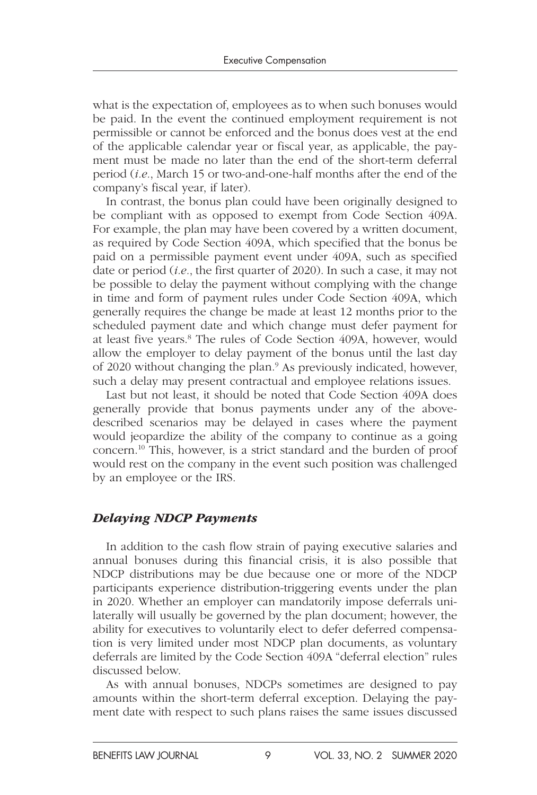what is the expectation of, employees as to when such bonuses would be paid. In the event the continued employment requirement is not permissible or cannot be enforced and the bonus does vest at the end of the applicable calendar year or fiscal year, as applicable, the payment must be made no later than the end of the short-term deferral period (*i.e.*, March 15 or two-and-one-half months after the end of the company's fiscal year, if later).

In contrast, the bonus plan could have been originally designed to be compliant with as opposed to exempt from Code Section 409A. For example, the plan may have been covered by a written document, as required by Code Section 409A, which specified that the bonus be paid on a permissible payment event under 409A, such as specified date or period (*i.e.*, the first quarter of 2020). In such a case, it may not be possible to delay the payment without complying with the change in time and form of payment rules under Code Section 409A, which generally requires the change be made at least 12 months prior to the scheduled payment date and which change must defer payment for at least five years.8 The rules of Code Section 409A, however, would allow the employer to delay payment of the bonus until the last day of 2020 without changing the plan.<sup>9</sup> As previously indicated, however, such a delay may present contractual and employee relations issues.

Last but not least, it should be noted that Code Section 409A does generally provide that bonus payments under any of the abovedescribed scenarios may be delayed in cases where the payment would jeopardize the ability of the company to continue as a going concern.10 This, however, is a strict standard and the burden of proof would rest on the company in the event such position was challenged by an employee or the IRS.

#### *Delaying NDCP Payments*

In addition to the cash flow strain of paying executive salaries and annual bonuses during this financial crisis, it is also possible that NDCP distributions may be due because one or more of the NDCP participants experience distribution-triggering events under the plan in 2020. Whether an employer can mandatorily impose deferrals unilaterally will usually be governed by the plan document; however, the ability for executives to voluntarily elect to defer deferred compensation is very limited under most NDCP plan documents, as voluntary deferrals are limited by the Code Section 409A "deferral election" rules discussed below.

As with annual bonuses, NDCPs sometimes are designed to pay amounts within the short-term deferral exception. Delaying the payment date with respect to such plans raises the same issues discussed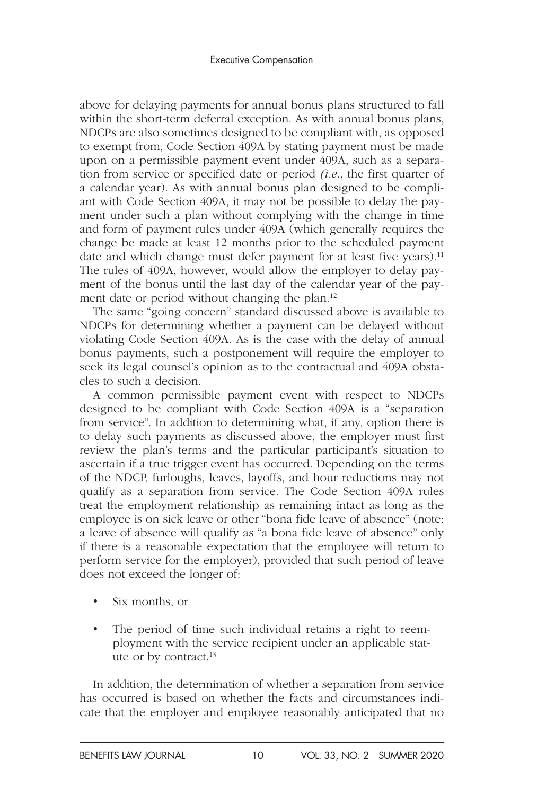above for delaying payments for annual bonus plans structured to fall within the short-term deferral exception. As with annual bonus plans, NDCPs are also sometimes designed to be compliant with, as opposed to exempt from, Code Section 409A by stating payment must be made upon on a permissible payment event under 409A, such as a separation from service or specified date or period *(i.e.*, the first quarter of a calendar year). As with annual bonus plan designed to be compliant with Code Section 409A, it may not be possible to delay the payment under such a plan without complying with the change in time and form of payment rules under 409A (which generally requires the change be made at least 12 months prior to the scheduled payment date and which change must defer payment for at least five years).<sup>11</sup> The rules of 409A, however, would allow the employer to delay payment of the bonus until the last day of the calendar year of the payment date or period without changing the plan.12

The same "going concern" standard discussed above is available to NDCPs for determining whether a payment can be delayed without violating Code Section 409A. As is the case with the delay of annual bonus payments, such a postponement will require the employer to seek its legal counsel's opinion as to the contractual and 409A obstacles to such a decision.

A common permissible payment event with respect to NDCPs designed to be compliant with Code Section 409A is a "separation from service". In addition to determining what, if any, option there is to delay such payments as discussed above, the employer must first review the plan's terms and the particular participant's situation to ascertain if a true trigger event has occurred. Depending on the terms of the NDCP, furloughs, leaves, layoffs, and hour reductions may not qualify as a separation from service. The Code Section 409A rules treat the employment relationship as remaining intact as long as the employee is on sick leave or other "bona fide leave of absence" (note: a leave of absence will qualify as "a bona fide leave of absence" only if there is a reasonable expectation that the employee will return to perform service for the employer), provided that such period of leave does not exceed the longer of:

- Six months, or
- The period of time such individual retains a right to reemployment with the service recipient under an applicable statute or by contract.13

In addition, the determination of whether a separation from service has occurred is based on whether the facts and circumstances indicate that the employer and employee reasonably anticipated that no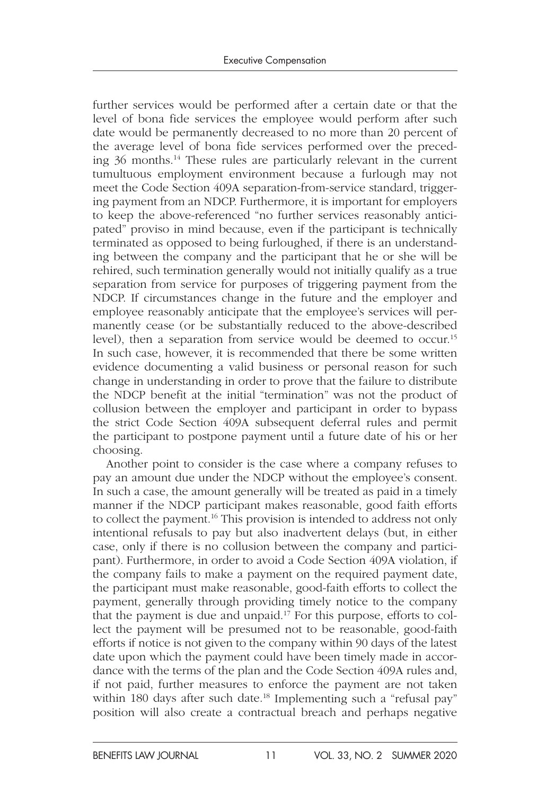further services would be performed after a certain date or that the level of bona fide services the employee would perform after such date would be permanently decreased to no more than 20 percent of the average level of bona fide services performed over the preceding 36 months.14 These rules are particularly relevant in the current tumultuous employment environment because a furlough may not meet the Code Section 409A separation-from-service standard, triggering payment from an NDCP. Furthermore, it is important for employers to keep the above-referenced "no further services reasonably anticipated" proviso in mind because, even if the participant is technically terminated as opposed to being furloughed, if there is an understanding between the company and the participant that he or she will be rehired, such termination generally would not initially qualify as a true separation from service for purposes of triggering payment from the NDCP. If circumstances change in the future and the employer and employee reasonably anticipate that the employee's services will permanently cease (or be substantially reduced to the above-described level), then a separation from service would be deemed to occur.15 In such case, however, it is recommended that there be some written evidence documenting a valid business or personal reason for such change in understanding in order to prove that the failure to distribute the NDCP benefit at the initial "termination" was not the product of collusion between the employer and participant in order to bypass the strict Code Section 409A subsequent deferral rules and permit the participant to postpone payment until a future date of his or her choosing.

Another point to consider is the case where a company refuses to pay an amount due under the NDCP without the employee's consent. In such a case, the amount generally will be treated as paid in a timely manner if the NDCP participant makes reasonable, good faith efforts to collect the payment.<sup>16</sup> This provision is intended to address not only intentional refusals to pay but also inadvertent delays (but, in either case, only if there is no collusion between the company and participant). Furthermore, in order to avoid a Code Section 409A violation, if the company fails to make a payment on the required payment date, the participant must make reasonable, good-faith efforts to collect the payment, generally through providing timely notice to the company that the payment is due and unpaid.17 For this purpose, efforts to collect the payment will be presumed not to be reasonable, good-faith efforts if notice is not given to the company within 90 days of the latest date upon which the payment could have been timely made in accordance with the terms of the plan and the Code Section 409A rules and, if not paid, further measures to enforce the payment are not taken within 180 days after such date.<sup>18</sup> Implementing such a "refusal pay" position will also create a contractual breach and perhaps negative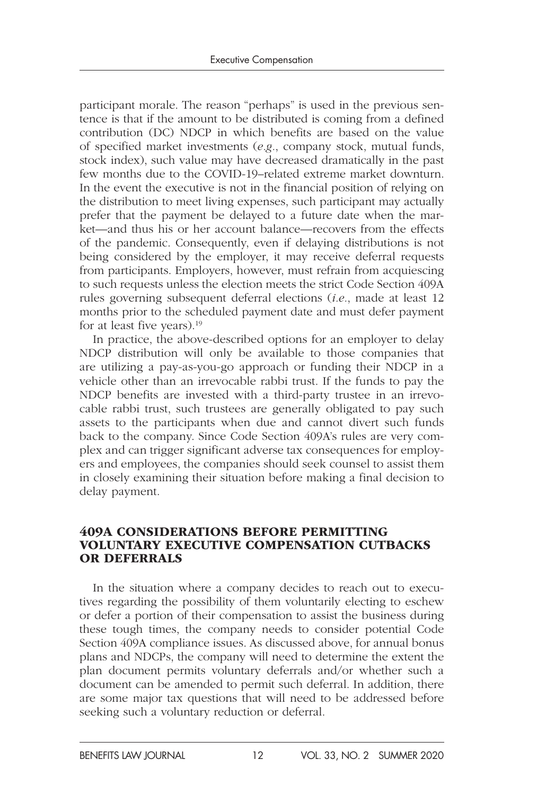participant morale. The reason "perhaps" is used in the previous sentence is that if the amount to be distributed is coming from a defined contribution (DC) NDCP in which benefits are based on the value of specified market investments (*e.g.*, company stock, mutual funds, stock index), such value may have decreased dramatically in the past few months due to the COVID-19–related extreme market downturn. In the event the executive is not in the financial position of relying on the distribution to meet living expenses, such participant may actually prefer that the payment be delayed to a future date when the market—and thus his or her account balance—recovers from the effects of the pandemic. Consequently, even if delaying distributions is not being considered by the employer, it may receive deferral requests from participants. Employers, however, must refrain from acquiescing to such requests unless the election meets the strict Code Section 409A rules governing subsequent deferral elections (*i.e.*, made at least 12 months prior to the scheduled payment date and must defer payment for at least five years).<sup>19</sup>

In practice, the above-described options for an employer to delay NDCP distribution will only be available to those companies that are utilizing a pay-as-you-go approach or funding their NDCP in a vehicle other than an irrevocable rabbi trust. If the funds to pay the NDCP benefits are invested with a third-party trustee in an irrevocable rabbi trust, such trustees are generally obligated to pay such assets to the participants when due and cannot divert such funds back to the company. Since Code Section 409A's rules are very complex and can trigger significant adverse tax consequences for employers and employees, the companies should seek counsel to assist them in closely examining their situation before making a final decision to delay payment.

#### 409A CONSIDERATIONS BEFORE PERMITTING VOLUNTARY EXECUTIVE COMPENSATION CUTBACKS OR DEFERRALS

In the situation where a company decides to reach out to executives regarding the possibility of them voluntarily electing to eschew or defer a portion of their compensation to assist the business during these tough times, the company needs to consider potential Code Section 409A compliance issues. As discussed above, for annual bonus plans and NDCPs, the company will need to determine the extent the plan document permits voluntary deferrals and/or whether such a document can be amended to permit such deferral. In addition, there are some major tax questions that will need to be addressed before seeking such a voluntary reduction or deferral.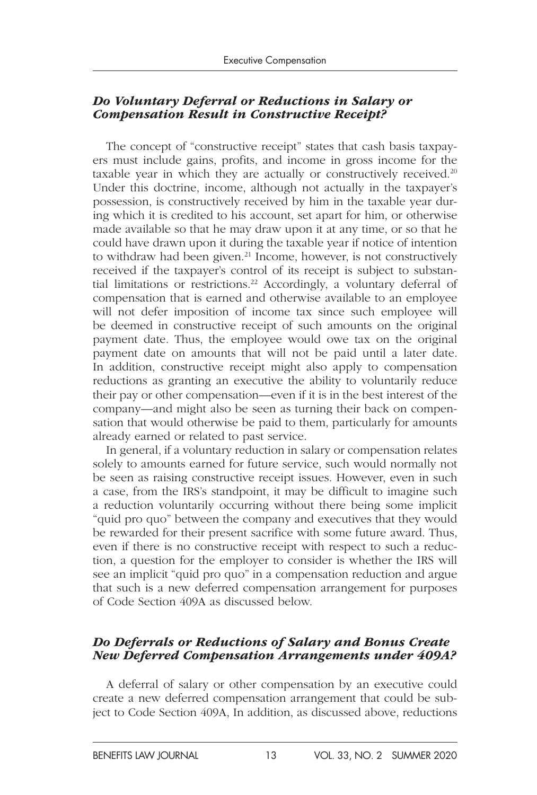#### *Do Voluntary Deferral or Reductions in Salary or Compensation Result in Constructive Receipt?*

The concept of "constructive receipt" states that cash basis taxpayers must include gains, profits, and income in gross income for the taxable year in which they are actually or constructively received.<sup>20</sup> Under this doctrine, income, although not actually in the taxpayer's possession, is constructively received by him in the taxable year during which it is credited to his account, set apart for him, or otherwise made available so that he may draw upon it at any time, or so that he could have drawn upon it during the taxable year if notice of intention to withdraw had been given.<sup>21</sup> Income, however, is not constructively received if the taxpayer's control of its receipt is subject to substantial limitations or restrictions.<sup>22</sup> Accordingly, a voluntary deferral of compensation that is earned and otherwise available to an employee will not defer imposition of income tax since such employee will be deemed in constructive receipt of such amounts on the original payment date. Thus, the employee would owe tax on the original payment date on amounts that will not be paid until a later date. In addition, constructive receipt might also apply to compensation reductions as granting an executive the ability to voluntarily reduce their pay or other compensation—even if it is in the best interest of the company—and might also be seen as turning their back on compensation that would otherwise be paid to them, particularly for amounts already earned or related to past service.

In general, if a voluntary reduction in salary or compensation relates solely to amounts earned for future service, such would normally not be seen as raising constructive receipt issues. However, even in such a case, from the IRS's standpoint, it may be difficult to imagine such a reduction voluntarily occurring without there being some implicit "quid pro quo" between the company and executives that they would be rewarded for their present sacrifice with some future award. Thus, even if there is no constructive receipt with respect to such a reduction, a question for the employer to consider is whether the IRS will see an implicit "quid pro quo" in a compensation reduction and argue that such is a new deferred compensation arrangement for purposes of Code Section 409A as discussed below.

#### *Do Deferrals or Reductions of Salary and Bonus Create New Deferred Compensation Arrangements under 409A?*

A deferral of salary or other compensation by an executive could create a new deferred compensation arrangement that could be subject to Code Section 409A, In addition, as discussed above, reductions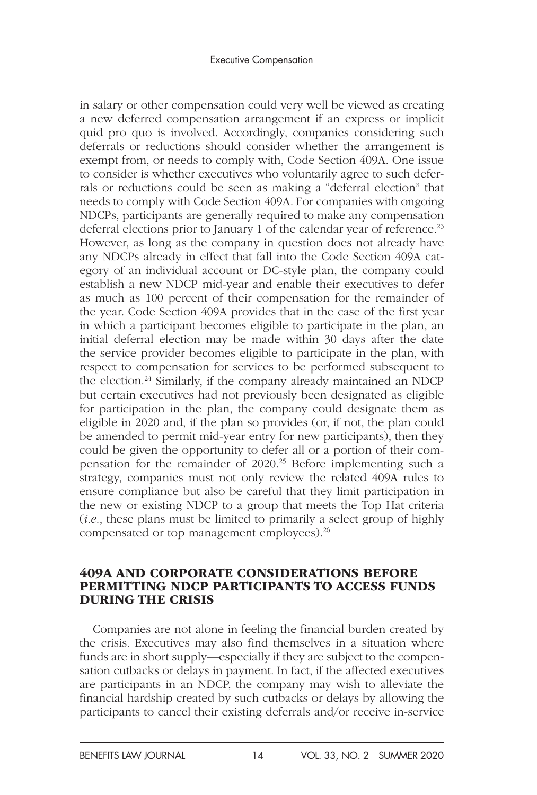in salary or other compensation could very well be viewed as creating a new deferred compensation arrangement if an express or implicit quid pro quo is involved. Accordingly, companies considering such deferrals or reductions should consider whether the arrangement is exempt from, or needs to comply with, Code Section 409A. One issue to consider is whether executives who voluntarily agree to such deferrals or reductions could be seen as making a "deferral election" that needs to comply with Code Section 409A. For companies with ongoing NDCPs, participants are generally required to make any compensation deferral elections prior to January 1 of the calendar year of reference.<sup>23</sup> However, as long as the company in question does not already have any NDCPs already in effect that fall into the Code Section 409A category of an individual account or DC-style plan, the company could establish a new NDCP mid-year and enable their executives to defer as much as 100 percent of their compensation for the remainder of the year. Code Section 409A provides that in the case of the first year in which a participant becomes eligible to participate in the plan, an initial deferral election may be made within 30 days after the date the service provider becomes eligible to participate in the plan, with respect to compensation for services to be performed subsequent to the election.24 Similarly, if the company already maintained an NDCP but certain executives had not previously been designated as eligible for participation in the plan, the company could designate them as eligible in 2020 and, if the plan so provides (or, if not, the plan could be amended to permit mid-year entry for new participants), then they could be given the opportunity to defer all or a portion of their compensation for the remainder of 2020.25 Before implementing such a strategy, companies must not only review the related 409A rules to ensure compliance but also be careful that they limit participation in the new or existing NDCP to a group that meets the Top Hat criteria (*i.e.*, these plans must be limited to primarily a select group of highly compensated or top management employees).26

#### 409A AND CORPORATE CONSIDERATIONS BEFORE PERMITTING NDCP PARTICIPANTS TO ACCESS FUNDS DURING THE CRISIS

Companies are not alone in feeling the financial burden created by the crisis. Executives may also find themselves in a situation where funds are in short supply—especially if they are subject to the compensation cutbacks or delays in payment. In fact, if the affected executives are participants in an NDCP, the company may wish to alleviate the financial hardship created by such cutbacks or delays by allowing the participants to cancel their existing deferrals and/or receive in-service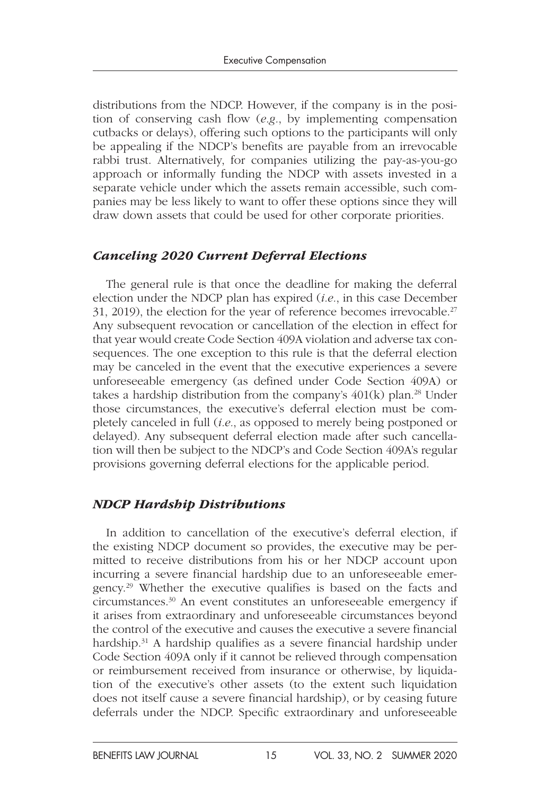distributions from the NDCP. However, if the company is in the position of conserving cash flow (*e.g.*, by implementing compensation cutbacks or delays), offering such options to the participants will only be appealing if the NDCP's benefits are payable from an irrevocable rabbi trust. Alternatively, for companies utilizing the pay-as-you-go approach or informally funding the NDCP with assets invested in a separate vehicle under which the assets remain accessible, such companies may be less likely to want to offer these options since they will draw down assets that could be used for other corporate priorities.

#### *Canceling 2020 Current Deferral Elections*

The general rule is that once the deadline for making the deferral election under the NDCP plan has expired (*i.e.*, in this case December 31, 2019), the election for the year of reference becomes irrevocable.27 Any subsequent revocation or cancellation of the election in effect for that year would create Code Section 409A violation and adverse tax consequences. The one exception to this rule is that the deferral election may be canceled in the event that the executive experiences a severe unforeseeable emergency (as defined under Code Section 409A) or takes a hardship distribution from the company's  $401(k)$  plan.<sup>28</sup> Under those circumstances, the executive's deferral election must be completely canceled in full (*i.e.*, as opposed to merely being postponed or delayed). Any subsequent deferral election made after such cancellation will then be subject to the NDCP's and Code Section 409A's regular provisions governing deferral elections for the applicable period.

#### *NDCP Hardship Distributions*

In addition to cancellation of the executive's deferral election, if the existing NDCP document so provides, the executive may be permitted to receive distributions from his or her NDCP account upon incurring a severe financial hardship due to an unforeseeable emergency.29 Whether the executive qualifies is based on the facts and circumstances.30 An event constitutes an unforeseeable emergency if it arises from extraordinary and unforeseeable circumstances beyond the control of the executive and causes the executive a severe financial hardship.<sup>31</sup> A hardship qualifies as a severe financial hardship under Code Section 409A only if it cannot be relieved through compensation or reimbursement received from insurance or otherwise, by liquidation of the executive's other assets (to the extent such liquidation does not itself cause a severe financial hardship), or by ceasing future deferrals under the NDCP. Specific extraordinary and unforeseeable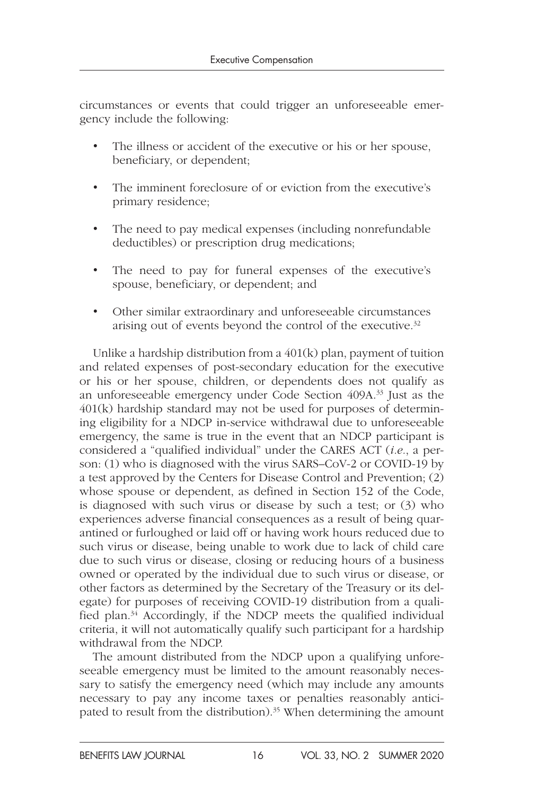circumstances or events that could trigger an unforeseeable emergency include the following:

- The illness or accident of the executive or his or her spouse, beneficiary, or dependent;
- The imminent foreclosure of or eviction from the executive's primary residence;
- The need to pay medical expenses (including nonrefundable deductibles) or prescription drug medications;
- The need to pay for funeral expenses of the executive's spouse, beneficiary, or dependent; and
- Other similar extraordinary and unforeseeable circumstances arising out of events beyond the control of the executive.<sup>32</sup>

Unlike a hardship distribution from a  $401(k)$  plan, payment of tuition and related expenses of post-secondary education for the executive or his or her spouse, children, or dependents does not qualify as an unforeseeable emergency under Code Section 409A.33 Just as the 401(k) hardship standard may not be used for purposes of determining eligibility for a NDCP in-service withdrawal due to unforeseeable emergency, the same is true in the event that an NDCP participant is considered a "qualified individual" under the CARES ACT (*i.e.*, a person: (1) who is diagnosed with the virus SARS–CoV-2 or COVID-19 by a test approved by the Centers for Disease Control and Prevention; (2) whose spouse or dependent, as defined in Section 152 of the Code, is diagnosed with such virus or disease by such a test; or (3) who experiences adverse financial consequences as a result of being quarantined or furloughed or laid off or having work hours reduced due to such virus or disease, being unable to work due to lack of child care due to such virus or disease, closing or reducing hours of a business owned or operated by the individual due to such virus or disease, or other factors as determined by the Secretary of the Treasury or its delegate) for purposes of receiving COVID-19 distribution from a qualified plan.<sup>34</sup> Accordingly, if the NDCP meets the qualified individual criteria, it will not automatically qualify such participant for a hardship withdrawal from the NDCP.

The amount distributed from the NDCP upon a qualifying unforeseeable emergency must be limited to the amount reasonably necessary to satisfy the emergency need (which may include any amounts necessary to pay any income taxes or penalties reasonably anticipated to result from the distribution).<sup>35</sup> When determining the amount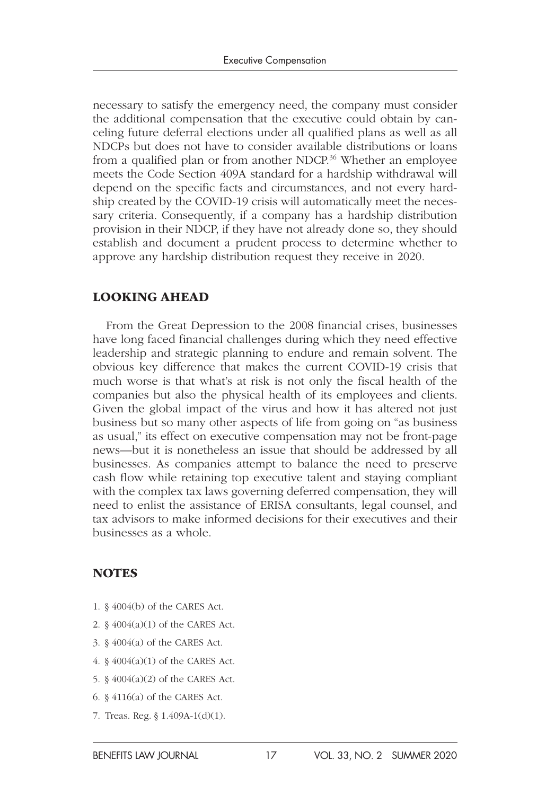necessary to satisfy the emergency need, the company must consider the additional compensation that the executive could obtain by canceling future deferral elections under all qualified plans as well as all NDCPs but does not have to consider available distributions or loans from a qualified plan or from another NDCP.<sup>36</sup> Whether an employee meets the Code Section 409A standard for a hardship withdrawal will depend on the specific facts and circumstances, and not every hardship created by the COVID-19 crisis will automatically meet the necessary criteria. Consequently, if a company has a hardship distribution provision in their NDCP, if they have not already done so, they should establish and document a prudent process to determine whether to approve any hardship distribution request they receive in 2020.

#### LOOKING AHEAD

From the Great Depression to the 2008 financial crises, businesses have long faced financial challenges during which they need effective leadership and strategic planning to endure and remain solvent. The obvious key difference that makes the current COVID-19 crisis that much worse is that what's at risk is not only the fiscal health of the companies but also the physical health of its employees and clients. Given the global impact of the virus and how it has altered not just business but so many other aspects of life from going on "as business as usual," its effect on executive compensation may not be front-page news—but it is nonetheless an issue that should be addressed by all businesses. As companies attempt to balance the need to preserve cash flow while retaining top executive talent and staying compliant with the complex tax laws governing deferred compensation, they will need to enlist the assistance of ERISA consultants, legal counsel, and tax advisors to make informed decisions for their executives and their businesses as a whole.

#### **NOTES**

- 1. § 4004(b) of the CARES Act.
- 2. § 4004(a)(1) of the CARES Act.
- 3. § 4004(a) of the CARES Act.
- 4. § 4004(a)(1) of the CARES Act.
- 5. § 4004(a)(2) of the CARES Act.
- 6. § 4116(a) of the CARES Act.
- 7. Treas. Reg. § 1.409A-1(d)(1).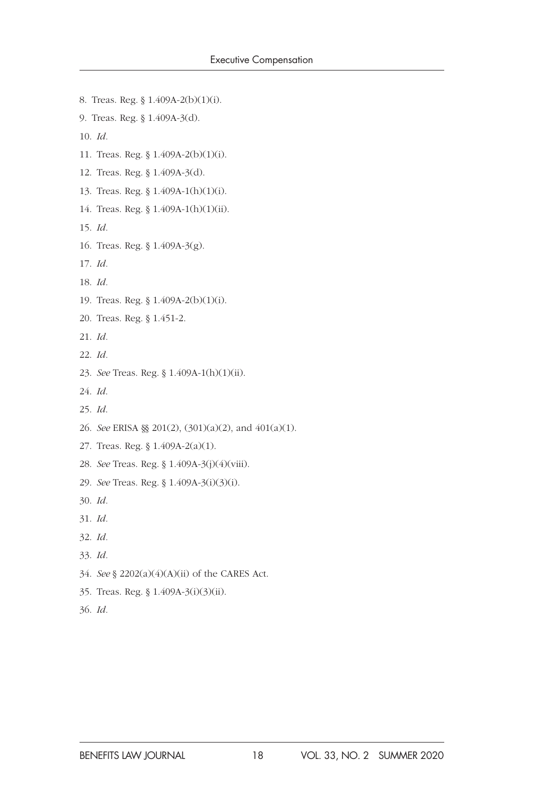8. Treas. Reg. § 1.409A-2(b)(1)(i). 9. Treas. Reg. § 1.409A-3(d). 10. *Id.* 11. Treas. Reg. § 1.409A-2(b)(1)(i). 12. Treas. Reg. § 1.409A-3(d). 13. Treas. Reg. § 1.409A-1(h)(1)(i). 14. Treas. Reg. § 1.409A-1(h)(1)(ii). 15. *Id.* 16. Treas. Reg. § 1.409A-3(g). 17. *Id.* 18. *Id.* 19. Treas. Reg. § 1.409A-2(b)(1)(i). 20. Treas. Reg. § 1.451-2. 21. *Id.* 22. *Id.* 23. *See* Treas. Reg. § 1.409A-1(h)(1)(ii). 24. *Id*. 25. *Id*. 26. *See* ERISA §§ 201(2), (301)(a)(2), and 401(a)(1). 27. Treas. Reg. § 1.409A-2(a)(1). 28. *See* Treas. Reg. § 1.409A-3(j)(4)(viii). 29. *See* Treas. Reg. § 1.409A-3(i)(3)(i). 30. *Id.* 31. *Id.* 32. *Id.* 33. *Id.* 34. *See* § 2202(a)(4)(A)(ii) of the CARES Act.

- 35. Treas. Reg. § 1.409A-3(i)(3)(ii).
- 36. *Id.*